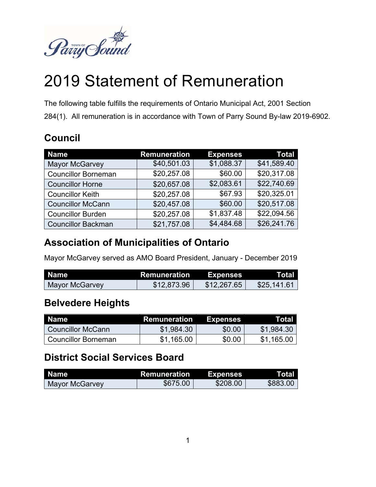

# 2019 Statement of Remuneration

The following table fulfills the requirements of Ontario Municipal Act, 2001 Section 284(1). All remuneration is in accordance with Town of Parry Sound By-law 2019-6902.

#### **Council**

| <b>Name</b>                | <b>Remuneration</b> | <b>Expenses</b> | Total       |
|----------------------------|---------------------|-----------------|-------------|
| <b>Mayor McGarvey</b>      | \$40,501.03         | \$1,088.37      | \$41,589.40 |
| <b>Councillor Borneman</b> | \$20,257.08         | \$60.00         | \$20,317.08 |
| <b>Councillor Horne</b>    | \$20,657.08         | \$2,083.61      | \$22,740.69 |
| <b>Councillor Keith</b>    | \$20,257.08         | \$67.93         | \$20,325.01 |
| <b>Councillor McCann</b>   | \$20,457.08         | \$60.00         | \$20,517.08 |
| <b>Councillor Burden</b>   | \$20,257.08         | \$1,837.48      | \$22,094.56 |
| <b>Councillor Backman</b>  | \$21,757.08         | \$4,484.68      | \$26,241.76 |

#### **Association of Municipalities of Ontario**

Mayor McGarvey served as AMO Board President, January - December 2019

| l Name         | Remuneration | <b>Expenses</b> | Total       |
|----------------|--------------|-----------------|-------------|
| Mayor McGarvey | \$12,873.96  | \$12,267.65     | \$25,141.61 |

#### **Belvedere Heights**

| <b>Name</b>              | Remuneration | <b>Expenses</b> | Total      |
|--------------------------|--------------|-----------------|------------|
| <b>Councillor McCann</b> | \$1,984.30   | \$0.00          | \$1,984.30 |
| l Councillor Borneman    | \$1,165.00   | \$0.00          | \$1,165.00 |

## **District Social Services Board**

| Name           | Remuneration | Expenses | Total    |
|----------------|--------------|----------|----------|
| Mayor McGarvey | \$675.00     | \$208.00 | \$883.00 |